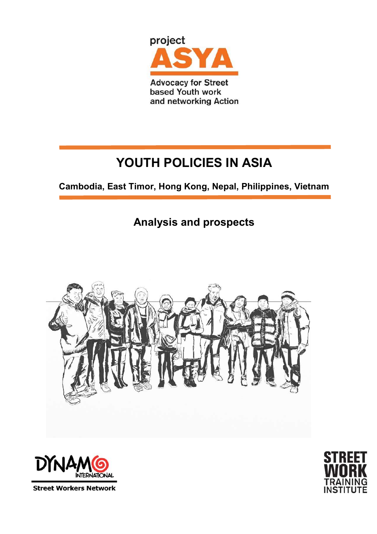

# YOUTH POLICIES IN ASIA

Cambodia, East Timor, Hong Kong, Nepal, Philippines, Vietnam

Analysis and prospects







**Street Workers Network**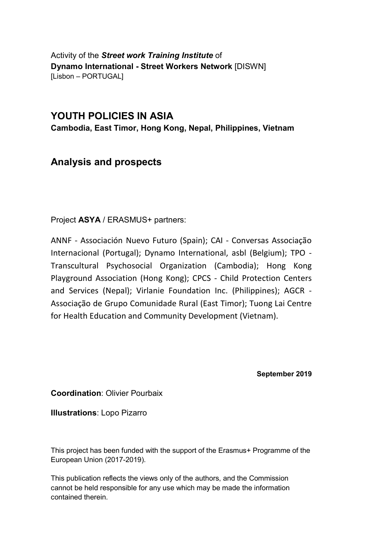Activity of the **Street work Training Institute** of Dynamo International - Street Workers Network [DISWN] [Lisbon – PORTUGAL]

### YOUTH POLICIES IN ASIA

Cambodia, East Timor, Hong Kong, Nepal, Philippines, Vietnam

# Analysis and prospects

Project ASYA / ERASMUS+ partners:

ANNF - Associación Nuevo Futuro (Spain); CAI - Conversas Associação Internacional (Portugal); Dynamo International, asbl (Belgium); TPO - Transcultural Psychosocial Organization (Cambodia); Hong Kong Playground Association (Hong Kong); CPCS - Child Protection Centers and Services (Nepal); Virlanie Foundation Inc. (Philippines); AGCR - Associação de Grupo Comunidade Rural (East Timor); Tuong Lai Centre for Health Education and Community Development (Vietnam).

September 2019

Coordination: Olivier Pourbaix

Illustrations: Lopo Pizarro

This project has been funded with the support of the Erasmus+ Programme of the European Union (2017-2019).

This publication reflects the views only of the authors, and the Commission cannot be held responsible for any use which may be made the information contained therein.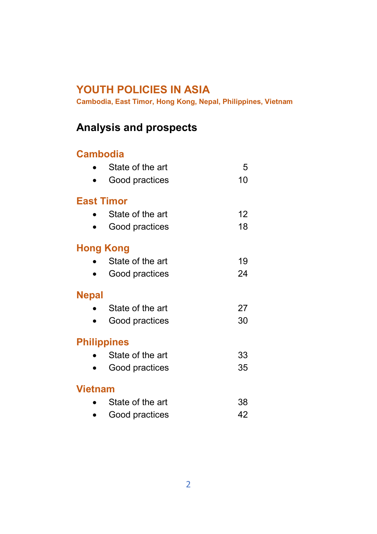# YOUTH POLICIES IN ASIA

Cambodia, East Timor, Hong Kong, Nepal, Philippines, Vietnam

# Analysis and prospects

# Cambodia

|                    | State of the art |  | 5  |
|--------------------|------------------|--|----|
|                    | Good practices   |  | 10 |
| East Timor         |                  |  |    |
|                    | State of the art |  | 12 |
|                    | Good practices   |  | 18 |
| <b>Hong Kong</b>   |                  |  |    |
|                    | State of the art |  | 19 |
|                    | Good practices   |  | 24 |
| Nepal              |                  |  |    |
|                    | State of the art |  | 27 |
|                    | Good practices   |  | 30 |
| <b>Philippines</b> |                  |  |    |
|                    | State of the art |  | 33 |
|                    | Good practices   |  | 35 |
| Vietnam            |                  |  |    |
|                    | State of the art |  | 38 |
|                    | Good practices   |  | 42 |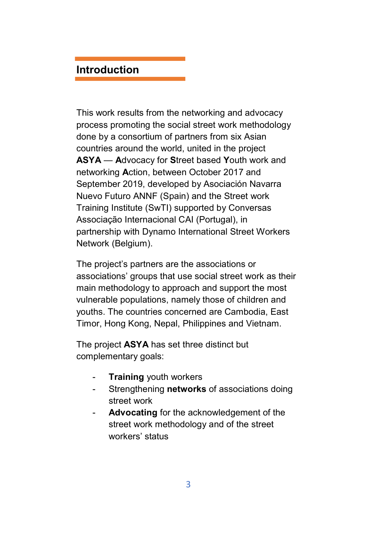# **Introduction**

This work results from the networking and advocacy process promoting the social street work methodology done by a consortium of partners from six Asian countries around the world, united in the project ASYA — Advocacy for Street based Youth work and networking Action, between October 2017 and September 2019, developed by Asociación Navarra Nuevo Futuro ANNF (Spain) and the Street work Training Institute (SwTI) supported by Conversas Associação Internacional CAI (Portugal), in partnership with Dynamo International Street Workers Network (Belgium).

The project's partners are the associations or associations' groups that use social street work as their main methodology to approach and support the most vulnerable populations, namely those of children and youths. The countries concerned are Cambodia, East Timor, Hong Kong, Nepal, Philippines and Vietnam.

The project ASYA has set three distinct but complementary goals:

- Training youth workers
- Strengthening networks of associations doing street work
- Advocating for the acknowledgement of the street work methodology and of the street workers' status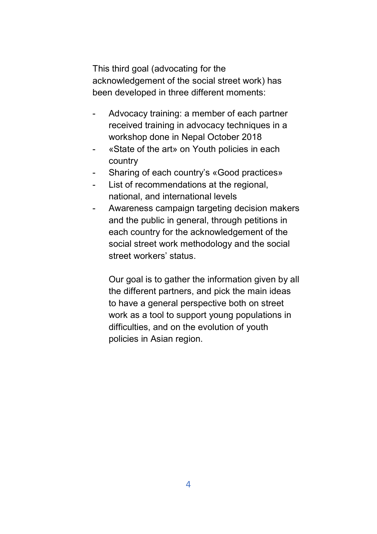This third goal (advocating for the acknowledgement of the social street work) has been developed in three different moments:

- Advocacy training: a member of each partner received training in advocacy techniques in a workshop done in Nepal October 2018
- «State of the art» on Youth policies in each country
- Sharing of each country's «Good practices»
- List of recommendations at the regional, national, and international levels
- Awareness campaign targeting decision makers and the public in general, through petitions in each country for the acknowledgement of the social street work methodology and the social street workers' status.

Our goal is to gather the information given by all the different partners, and pick the main ideas to have a general perspective both on street work as a tool to support young populations in difficulties, and on the evolution of youth policies in Asian region.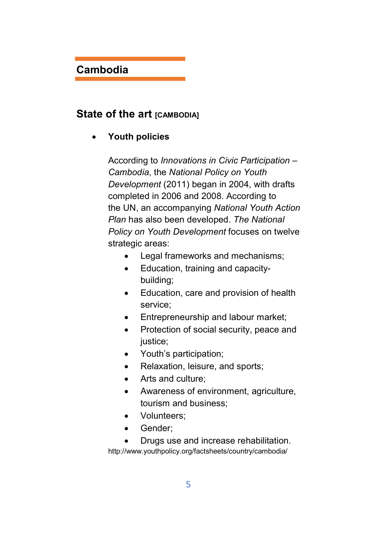# Cambodia

# State of the art [CAMBODIA]

#### Youth policies

According to Innovations in Civic Participation – Cambodia, the National Policy on Youth Development (2011) began in 2004, with drafts completed in 2006 and 2008. According to the UN, an accompanying National Youth Action Plan has also been developed. The National Policy on Youth Development focuses on twelve strategic areas:

- Legal frameworks and mechanisms;
- Education, training and capacitybuilding;
- Education, care and provision of health service;
- Entrepreneurship and labour market;
- Protection of social security, peace and justice;
- Youth's participation;
- Relaxation, leisure, and sports:
- Arts and culture:
- Awareness of environment, agriculture, tourism and business;
- Volunteers:
- Gender:
- Drugs use and increase rehabilitation.

http://www.youthpolicy.org/factsheets/country/cambodia/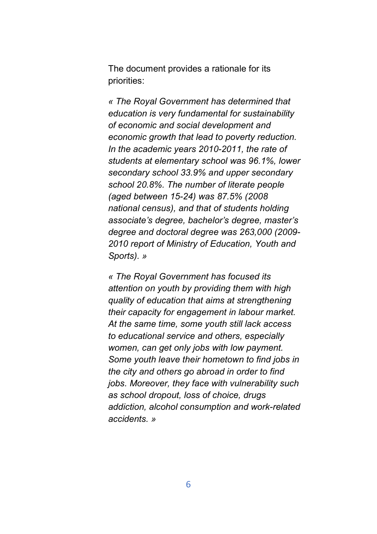The document provides a rationale for its priorities:

« The Royal Government has determined that education is very fundamental for sustainability of economic and social development and economic growth that lead to poverty reduction. In the academic years 2010-2011, the rate of students at elementary school was 96.1%, lower secondary school 33.9% and upper secondary school 20.8%. The number of literate people (aged between 15-24) was 87.5% (2008 national census), and that of students holding associate's degree, bachelor's degree, master's degree and doctoral degree was 263,000 (2009- 2010 report of Ministry of Education, Youth and Sports). »

« The Royal Government has focused its attention on youth by providing them with high quality of education that aims at strengthening their capacity for engagement in labour market. At the same time, some youth still lack access to educational service and others, especially women, can get only jobs with low payment. Some youth leave their hometown to find jobs in the city and others go abroad in order to find jobs. Moreover, they face with vulnerability such as school dropout, loss of choice, drugs addiction, alcohol consumption and work-related accidents. »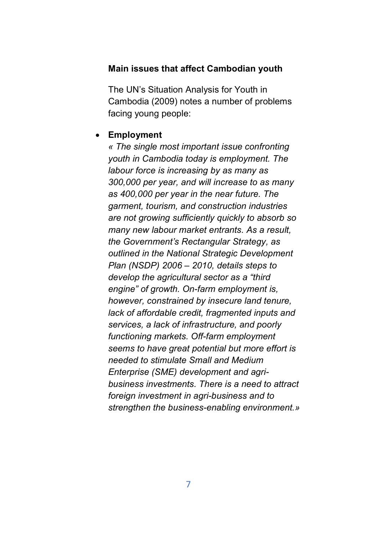#### Main issues that affect Cambodian youth

The UN's Situation Analysis for Youth in Cambodia (2009) notes a number of problems facing young people:

#### Employment

« The single most important issue confronting youth in Cambodia today is employment. The labour force is increasing by as many as 300,000 per year, and will increase to as many as 400,000 per year in the near future. The garment, tourism, and construction industries are not growing sufficiently quickly to absorb so many new labour market entrants. As a result, the Government's Rectangular Strategy, as outlined in the National Strategic Development Plan (NSDP) 2006 – 2010, details steps to develop the agricultural sector as a "third engine" of growth. On-farm employment is, however, constrained by insecure land tenure, lack of affordable credit, fragmented inputs and services, a lack of infrastructure, and poorly functioning markets. Off-farm employment seems to have great potential but more effort is needed to stimulate Small and Medium Enterprise (SME) development and agribusiness investments. There is a need to attract foreign investment in agri-business and to strengthen the business-enabling environment.»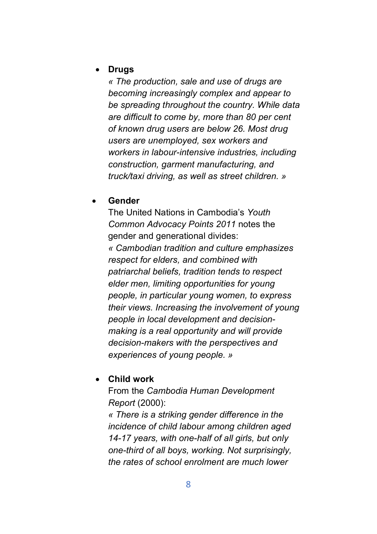#### • Drugs

« The production, sale and use of drugs are becoming increasingly complex and appear to be spreading throughout the country. While data are difficult to come by, more than 80 per cent of known drug users are below 26. Most drug users are unemployed, sex workers and workers in labour-intensive industries, including construction, garment manufacturing, and truck/taxi driving, as well as street children. »

#### Gender

The United Nations in Cambodia's Youth Common Advocacy Points 2011 notes the gender and generational divides: « Cambodian tradition and culture emphasizes respect for elders, and combined with patriarchal beliefs, tradition tends to respect elder men, limiting opportunities for young people, in particular young women, to express their views. Increasing the involvement of young people in local development and decisionmaking is a real opportunity and will provide decision-makers with the perspectives and experiences of young people. »

#### Child work

From the Cambodia Human Development Report (2000):

« There is a striking gender difference in the incidence of child labour among children aged 14-17 years, with one-half of all girls, but only one-third of all boys, working. Not surprisingly, the rates of school enrolment are much lower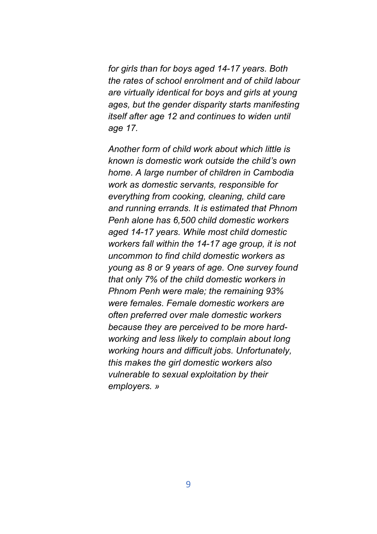for girls than for boys aged 14-17 years. Both the rates of school enrolment and of child labour are virtually identical for boys and girls at young ages, but the gender disparity starts manifesting itself after age 12 and continues to widen until age 17.

Another form of child work about which little is known is domestic work outside the child's own home. A large number of children in Cambodia work as domestic servants, responsible for everything from cooking, cleaning, child care and running errands. It is estimated that Phnom Penh alone has 6,500 child domestic workers aged 14-17 years. While most child domestic workers fall within the 14-17 age group, it is not uncommon to find child domestic workers as young as 8 or 9 years of age. One survey found that only 7% of the child domestic workers in Phnom Penh were male; the remaining 93% were females. Female domestic workers are often preferred over male domestic workers because they are perceived to be more hardworking and less likely to complain about long working hours and difficult jobs. Unfortunately, this makes the girl domestic workers also vulnerable to sexual exploitation by their employers. »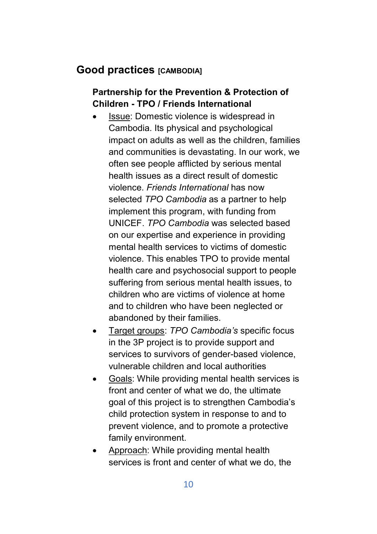# Good practices **[CAMBODIA]**

### Partnership for the Prevention & Protection of Children - TPO / Friends International

- Issue: Domestic violence is widespread in Cambodia. Its physical and psychological impact on adults as well as the children, families and communities is devastating. In our work, we often see people afflicted by serious mental health issues as a direct result of domestic violence. Friends International has now selected TPO Cambodia as a partner to help implement this program, with funding from UNICEF. TPO Cambodia was selected based on our expertise and experience in providing mental health services to victims of domestic violence. This enables TPO to provide mental health care and psychosocial support to people suffering from serious mental health issues, to children who are victims of violence at home and to children who have been neglected or abandoned by their families.
- Target groups: TPO Cambodia's specific focus in the 3P project is to provide support and services to survivors of gender-based violence, vulnerable children and local authorities
- Goals: While providing mental health services is front and center of what we do, the ultimate goal of this project is to strengthen Cambodia's child protection system in response to and to prevent violence, and to promote a protective family environment.
- Approach: While providing mental health services is front and center of what we do, the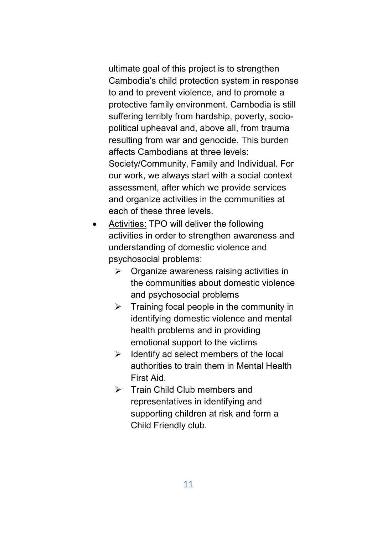ultimate goal of this project is to strengthen Cambodia's child protection system in response to and to prevent violence, and to promote a protective family environment. Cambodia is still suffering terribly from hardship, poverty, sociopolitical upheaval and, above all, from trauma resulting from war and genocide. This burden affects Cambodians at three levels: Society/Community, Family and Individual. For our work, we always start with a social context assessment, after which we provide services and organize activities in the communities at each of these three levels.

- Activities: TPO will deliver the following activities in order to strengthen awareness and understanding of domestic violence and psychosocial problems:
	- $\triangleright$  Organize awareness raising activities in the communities about domestic violence and psychosocial problems
	- $\triangleright$  Training focal people in the community in identifying domestic violence and mental health problems and in providing emotional support to the victims
	- $\triangleright$  Identify ad select members of the local authorities to train them in Mental Health First Aid.
	- **Fig. 3** Train Child Club members and representatives in identifying and supporting children at risk and form a Child Friendly club.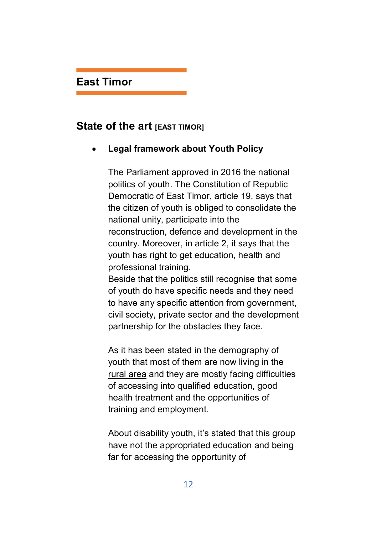# East Timor

### State of the art **[EAST TIMOR]**

#### Legal framework about Youth Policy

The Parliament approved in 2016 the national politics of youth. The Constitution of Republic Democratic of East Timor, article 19, says that the citizen of youth is obliged to consolidate the national unity, participate into the reconstruction, defence and development in the country. Moreover, in article 2, it says that the youth has right to get education, health and professional training.

Beside that the politics still recognise that some of youth do have specific needs and they need to have any specific attention from government, civil society, private sector and the development partnership for the obstacles they face.

As it has been stated in the demography of youth that most of them are now living in the rural area and they are mostly facing difficulties of accessing into qualified education, good health treatment and the opportunities of training and employment.

About disability youth, it's stated that this group have not the appropriated education and being far for accessing the opportunity of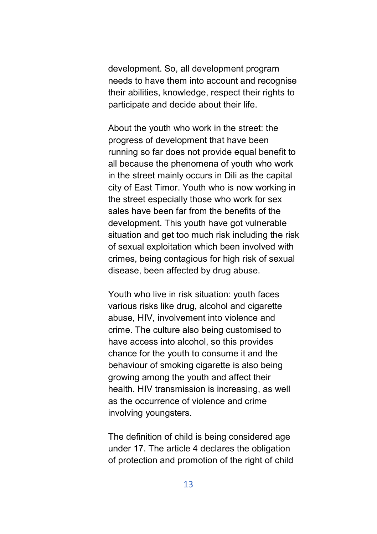development. So, all development program needs to have them into account and recognise their abilities, knowledge, respect their rights to participate and decide about their life.

About the youth who work in the street: the progress of development that have been running so far does not provide equal benefit to all because the phenomena of youth who work in the street mainly occurs in Dili as the capital city of East Timor. Youth who is now working in the street especially those who work for sex sales have been far from the benefits of the development. This youth have got vulnerable situation and get too much risk including the risk of sexual exploitation which been involved with crimes, being contagious for high risk of sexual disease, been affected by drug abuse.

Youth who live in risk situation: youth faces various risks like drug, alcohol and cigarette abuse, HIV, involvement into violence and crime. The culture also being customised to have access into alcohol, so this provides chance for the youth to consume it and the behaviour of smoking cigarette is also being growing among the youth and affect their health. HIV transmission is increasing, as well as the occurrence of violence and crime involving youngsters.

The definition of child is being considered age under 17. The article 4 declares the obligation of protection and promotion of the right of child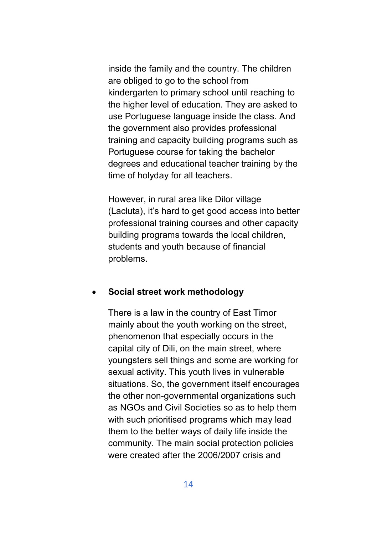inside the family and the country. The children are obliged to go to the school from kindergarten to primary school until reaching to the higher level of education. They are asked to use Portuguese language inside the class. And the government also provides professional training and capacity building programs such as Portuguese course for taking the bachelor degrees and educational teacher training by the time of holyday for all teachers.

However, in rural area like Dilor village (Lacluta), it's hard to get good access into better professional training courses and other capacity building programs towards the local children, students and youth because of financial problems.

#### • Social street work methodology

There is a law in the country of East Timor mainly about the youth working on the street, phenomenon that especially occurs in the capital city of Dili, on the main street, where youngsters sell things and some are working for sexual activity. This youth lives in vulnerable situations. So, the government itself encourages the other non-governmental organizations such as NGOs and Civil Societies so as to help them with such prioritised programs which may lead them to the better ways of daily life inside the community. The main social protection policies were created after the 2006/2007 crisis and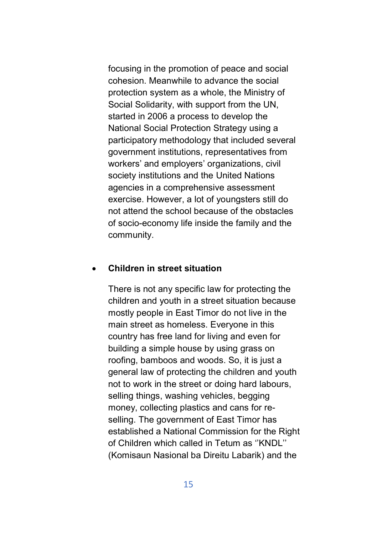focusing in the promotion of peace and social cohesion. Meanwhile to advance the social protection system as a whole, the Ministry of Social Solidarity, with support from the UN, started in 2006 a process to develop the National Social Protection Strategy using a participatory methodology that included several government institutions, representatives from workers' and employers' organizations, civil society institutions and the United Nations agencies in a comprehensive assessment exercise. However, a lot of youngsters still do not attend the school because of the obstacles of socio-economy life inside the family and the community.

#### Children in street situation

There is not any specific law for protecting the children and youth in a street situation because mostly people in East Timor do not live in the main street as homeless. Everyone in this country has free land for living and even for building a simple house by using grass on roofing, bamboos and woods. So, it is just a general law of protecting the children and youth not to work in the street or doing hard labours, selling things, washing vehicles, begging money, collecting plastics and cans for reselling. The government of East Timor has established a National Commission for the Right of Children which called in Tetum as ''KNDL'' (Komisaun Nasional ba Direitu Labarik) and the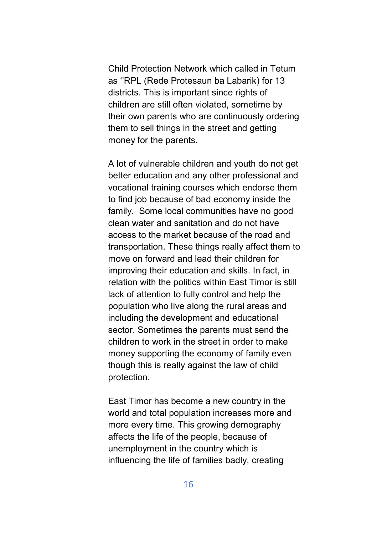Child Protection Network which called in Tetum as ''RPL (Rede Protesaun ba Labarik) for 13 districts. This is important since rights of children are still often violated, sometime by their own parents who are continuously ordering them to sell things in the street and getting money for the parents.

A lot of vulnerable children and youth do not get better education and any other professional and vocational training courses which endorse them to find job because of bad economy inside the family. Some local communities have no good clean water and sanitation and do not have access to the market because of the road and transportation. These things really affect them to move on forward and lead their children for improving their education and skills. In fact, in relation with the politics within East Timor is still lack of attention to fully control and help the population who live along the rural areas and including the development and educational sector. Sometimes the parents must send the children to work in the street in order to make money supporting the economy of family even though this is really against the law of child protection.

East Timor has become a new country in the world and total population increases more and more every time. This growing demography affects the life of the people, because of unemployment in the country which is influencing the life of families badly, creating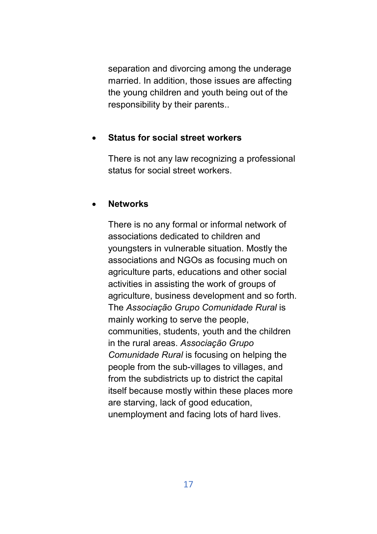separation and divorcing among the underage married. In addition, those issues are affecting the young children and youth being out of the responsibility by their parents..

#### Status for social street workers

There is not any law recognizing a professional status for social street workers.

#### **Networks**

There is no any formal or informal network of associations dedicated to children and youngsters in vulnerable situation. Mostly the associations and NGOs as focusing much on agriculture parts, educations and other social activities in assisting the work of groups of agriculture, business development and so forth. The Associação Grupo Comunidade Rural is mainly working to serve the people, communities, students, youth and the children in the rural areas. Associação Grupo Comunidade Rural is focusing on helping the people from the sub-villages to villages, and from the subdistricts up to district the capital itself because mostly within these places more are starving, lack of good education, unemployment and facing lots of hard lives.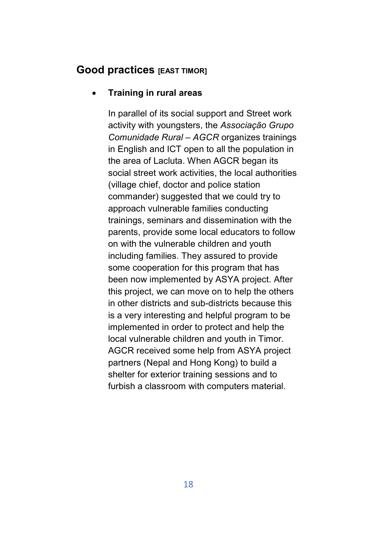# Good practices **IEAST TIMORI**

#### Training in rural areas

In parallel of its social support and Street work activity with youngsters, the Associação Grupo Comunidade Rural – AGCR organizes trainings in English and ICT open to all the population in the area of Lacluta. When AGCR began its social street work activities, the local authorities (village chief, doctor and police station commander) suggested that we could try to approach vulnerable families conducting trainings, seminars and dissemination with the parents, provide some local educators to follow on with the vulnerable children and youth including families. They assured to provide some cooperation for this program that has been now implemented by ASYA project. After this project, we can move on to help the others in other districts and sub-districts because this is a very interesting and helpful program to be implemented in order to protect and help the local vulnerable children and youth in Timor. AGCR received some help from ASYA project partners (Nepal and Hong Kong) to build a shelter for exterior training sessions and to furbish a classroom with computers material.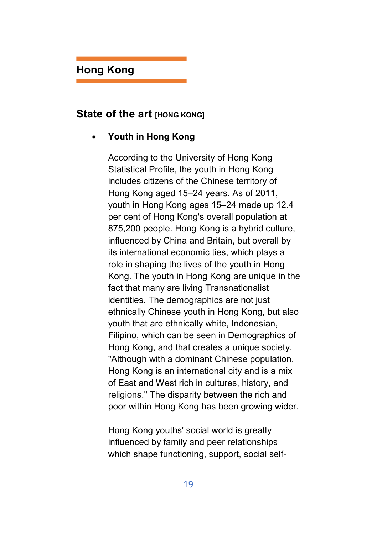# Hong Kong

### State of the art **[HONG KONG]**

#### Youth in Hong Kong

According to the University of Hong Kong Statistical Profile, the youth in Hong Kong includes citizens of the Chinese territory of Hong Kong aged 15–24 years. As of 2011, youth in Hong Kong ages 15–24 made up 12.4 per cent of Hong Kong's overall population at 875,200 people. Hong Kong is a hybrid culture, influenced by China and Britain, but overall by its international economic ties, which plays a role in shaping the lives of the youth in Hong Kong. The youth in Hong Kong are unique in the fact that many are living Transnationalist identities. The demographics are not just ethnically Chinese youth in Hong Kong, but also youth that are ethnically white, Indonesian, Filipino, which can be seen in Demographics of Hong Kong, and that creates a unique society. "Although with a dominant Chinese population, Hong Kong is an international city and is a mix of East and West rich in cultures, history, and religions." The disparity between the rich and poor within Hong Kong has been growing wider.

Hong Kong youths' social world is greatly influenced by family and peer relationships which shape functioning, support, social self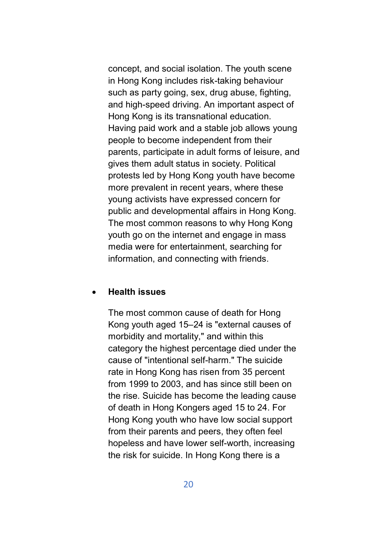concept, and social isolation. The youth scene in Hong Kong includes risk-taking behaviour such as party going, sex, drug abuse, fighting, and high-speed driving. An important aspect of Hong Kong is its transnational education. Having paid work and a stable job allows young people to become independent from their parents, participate in adult forms of leisure, and gives them adult status in society. Political protests led by Hong Kong youth have become more prevalent in recent years, where these young activists have expressed concern for public and developmental affairs in Hong Kong. The most common reasons to why Hong Kong youth go on the internet and engage in mass media were for entertainment, searching for information, and connecting with friends.

#### Health issues

The most common cause of death for Hong Kong youth aged 15–24 is "external causes of morbidity and mortality," and within this category the highest percentage died under the cause of "intentional self-harm." The suicide rate in Hong Kong has risen from 35 percent from 1999 to 2003, and has since still been on the rise. Suicide has become the leading cause of death in Hong Kongers aged 15 to 24. For Hong Kong youth who have low social support from their parents and peers, they often feel hopeless and have lower self-worth, increasing the risk for suicide. In Hong Kong there is a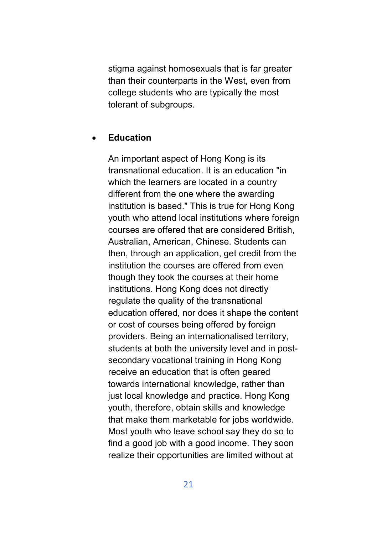stigma against homosexuals that is far greater than their counterparts in the West, even from college students who are typically the most tolerant of subgroups.

#### Education

An important aspect of Hong Kong is its transnational education. It is an education "in which the learners are located in a country different from the one where the awarding institution is based." This is true for Hong Kong youth who attend local institutions where foreign courses are offered that are considered British, Australian, American, Chinese. Students can then, through an application, get credit from the institution the courses are offered from even though they took the courses at their home institutions. Hong Kong does not directly regulate the quality of the transnational education offered, nor does it shape the content or cost of courses being offered by foreign providers. Being an internationalised territory, students at both the university level and in postsecondary vocational training in Hong Kong receive an education that is often geared towards international knowledge, rather than just local knowledge and practice. Hong Kong youth, therefore, obtain skills and knowledge that make them marketable for jobs worldwide. Most youth who leave school say they do so to find a good job with a good income. They soon realize their opportunities are limited without at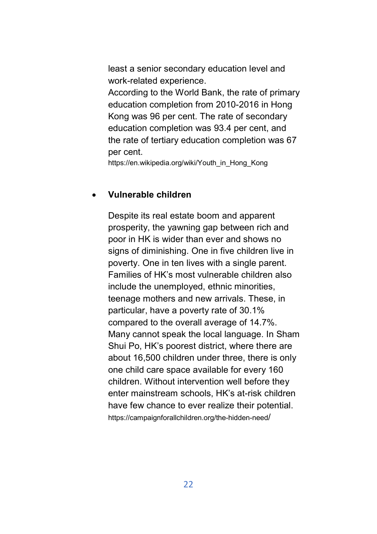least a senior secondary education level and work-related experience. According to the World Bank, the rate of primary education completion from 2010-2016 in Hong Kong was 96 per cent. The rate of secondary education completion was 93.4 per cent, and the rate of tertiary education completion was 67 per cent.

https://en.wikipedia.org/wiki/Youth\_in\_Hong\_Kong

#### Vulnerable children

Despite its real estate boom and apparent prosperity, the yawning gap between rich and poor in HK is wider than ever and shows no signs of diminishing. One in five children live in poverty. One in ten lives with a single parent. Families of HK's most vulnerable children also include the unemployed, ethnic minorities, teenage mothers and new arrivals. These, in particular, have a poverty rate of 30.1% compared to the overall average of 14.7%. Many cannot speak the local language. In Sham Shui Po, HK's poorest district, where there are about 16,500 children under three, there is only one child care space available for every 160 children. Without intervention well before they enter mainstream schools, HK's at-risk children have few chance to ever realize their potential. https://campaignforallchildren.org/the-hidden-need/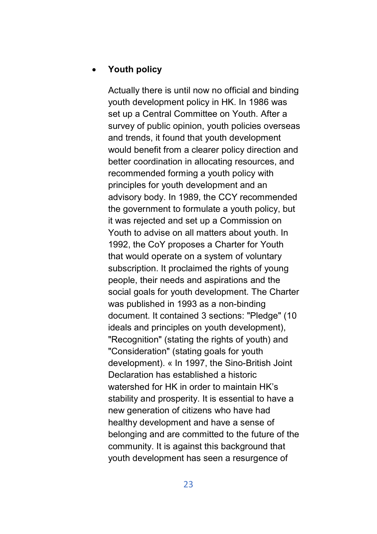#### Youth policy

Actually there is until now no official and binding youth development policy in HK. In 1986 was set up a Central Committee on Youth. After a survey of public opinion, youth policies overseas and trends, it found that youth development would benefit from a clearer policy direction and better coordination in allocating resources, and recommended forming a youth policy with principles for youth development and an advisory body. In 1989, the CCY recommended the government to formulate a youth policy, but it was rejected and set up a Commission on Youth to advise on all matters about youth. In 1992, the CoY proposes a Charter for Youth that would operate on a system of voluntary subscription. It proclaimed the rights of young people, their needs and aspirations and the social goals for youth development. The Charter was published in 1993 as a non-binding document. It contained 3 sections: "Pledge" (10 ideals and principles on youth development), "Recognition" (stating the rights of youth) and "Consideration" (stating goals for youth development). « In 1997, the Sino-British Joint Declaration has established a historic watershed for HK in order to maintain HK's stability and prosperity. It is essential to have a new generation of citizens who have had healthy development and have a sense of belonging and are committed to the future of the community. It is against this background that youth development has seen a resurgence of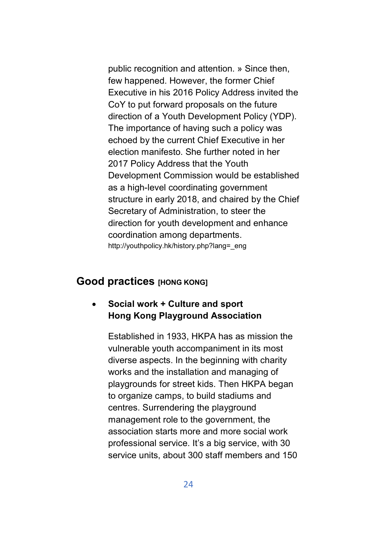public recognition and attention. » Since then, few happened. However, the former Chief Executive in his 2016 Policy Address invited the CoY to put forward proposals on the future direction of a Youth Development Policy (YDP). The importance of having such a policy was echoed by the current Chief Executive in her election manifesto. She further noted in her 2017 Policy Address that the Youth Development Commission would be established as a high-level coordinating government structure in early 2018, and chaired by the Chief Secretary of Administration, to steer the direction for youth development and enhance coordination among departments. http://youthpolicy.hk/history.php?lang=\_eng

# Good practices **IHONG KONGI**

# Social work + Culture and sport Hong Kong Playground Association

Established in 1933, HKPA has as mission the vulnerable youth accompaniment in its most diverse aspects. In the beginning with charity works and the installation and managing of playgrounds for street kids. Then HKPA began to organize camps, to build stadiums and centres. Surrendering the playground management role to the government, the association starts more and more social work professional service. It's a big service, with 30 service units, about 300 staff members and 150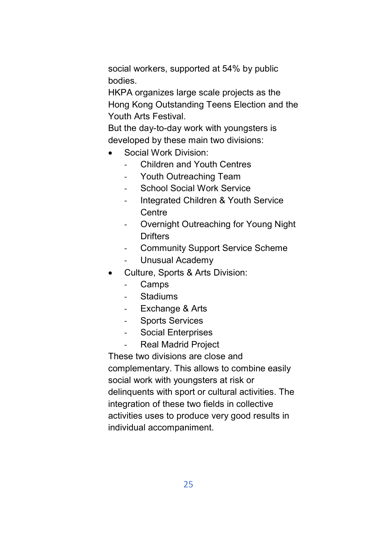social workers, supported at 54% by public bodies.

HKPA organizes large scale projects as the Hong Kong Outstanding Teens Election and the Youth Arts Festival.

But the day-to-day work with youngsters is developed by these main two divisions:

- Social Work Division:
	- Children and Youth Centres
	- Youth Outreaching Team
	- School Social Work Service
	- Integrated Children & Youth Service Centre
	- Overnight Outreaching for Young Night **Drifters**
	- Community Support Service Scheme
	- Unusual Academy
- Culture, Sports & Arts Division:
	- Camps
	- Stadiums
	- Exchange & Arts
	- Sports Services
	- Social Enterprises
	- Real Madrid Project

These two divisions are close and complementary. This allows to combine easily social work with youngsters at risk or delinquents with sport or cultural activities. The integration of these two fields in collective activities uses to produce very good results in individual accompaniment.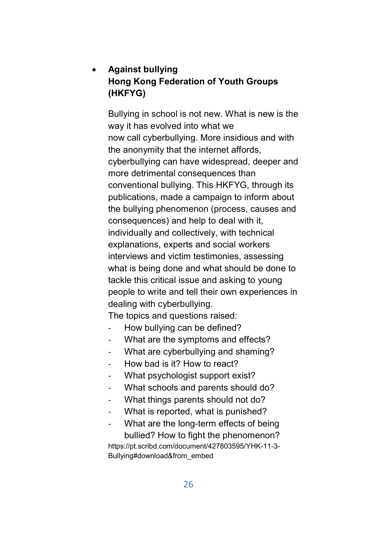# Against bullying Hong Kong Federation of Youth Groups (HKFYG)

Bullying in school is not new. What is new is the way it has evolved into what we now call cyberbullying. More insidious and with the anonymity that the internet affords, cyberbullying can have widespread, deeper and more detrimental consequences than conventional bullying. This HKFYG, through its publications, made a campaign to inform about the bullying phenomenon (process, causes and consequences) and help to deal with it, individually and collectively, with technical explanations, experts and social workers interviews and victim testimonies, assessing what is being done and what should be done to tackle this critical issue and asking to young people to write and tell their own experiences in dealing with cyberbullying.

The topics and questions raised:

- How bullying can be defined?
- What are the symptoms and effects?
- What are cyberbullying and shaming?
- How bad is it? How to react?
- What psychologist support exist?
- What schools and parents should do?
- What things parents should not do?
- What is reported, what is punished?
- What are the long-term effects of being bullied? How to fight the phenomenon? https://pt.scribd.com/document/427803595/YHK-11-3- Bullying#download&from\_embed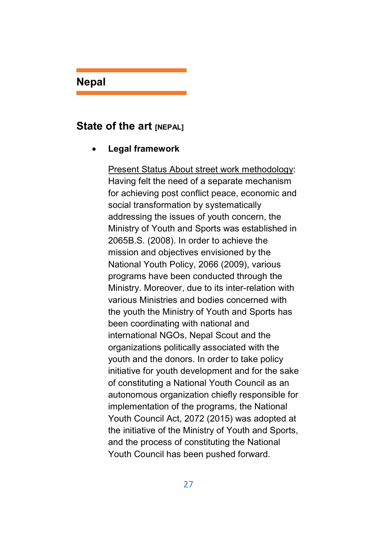# Nepal

### State of the art [NEPAL]

#### Legal framework

Present Status About street work methodology: Having felt the need of a separate mechanism for achieving post conflict peace, economic and social transformation by systematically addressing the issues of youth concern, the Ministry of Youth and Sports was established in 2065B.S. (2008). In order to achieve the mission and objectives envisioned by the National Youth Policy, 2066 (2009), various programs have been conducted through the Ministry. Moreover, due to its inter-relation with various Ministries and bodies concerned with the youth the Ministry of Youth and Sports has been coordinating with national and international NGOs, Nepal Scout and the organizations politically associated with the youth and the donors. In order to take policy initiative for youth development and for the sake of constituting a National Youth Council as an autonomous organization chiefly responsible for implementation of the programs, the National Youth Council Act, 2072 (2015) was adopted at the initiative of the Ministry of Youth and Sports, and the process of constituting the National Youth Council has been pushed forward.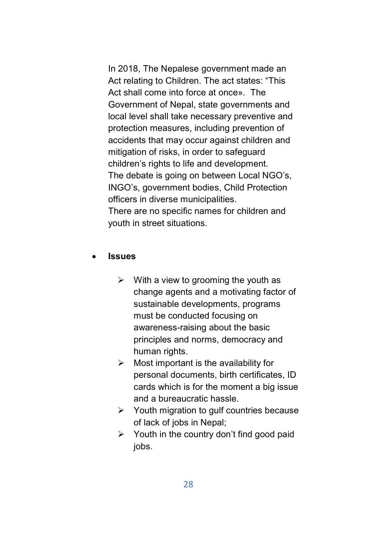In 2018, The Nepalese government made an Act relating to Children. The act states: "This Act shall come into force at once». The Government of Nepal, state governments and local level shall take necessary preventive and protection measures, including prevention of accidents that may occur against children and mitigation of risks, in order to safeguard children's rights to life and development. The debate is going on between Local NGO's, INGO's, government bodies, Child Protection officers in diverse municipalities. There are no specific names for children and youth in street situations.

#### **Issues**

- $\triangleright$  With a view to grooming the youth as change agents and a motivating factor of sustainable developments, programs must be conducted focusing on awareness-raising about the basic principles and norms, democracy and human rights.
- $\triangleright$  Most important is the availability for personal documents, birth certificates, ID cards which is for the moment a big issue and a bureaucratic hassle.
- $\triangleright$  Youth migration to gulf countries because of lack of jobs in Nepal;
- $\triangleright$  Youth in the country don't find good paid jobs.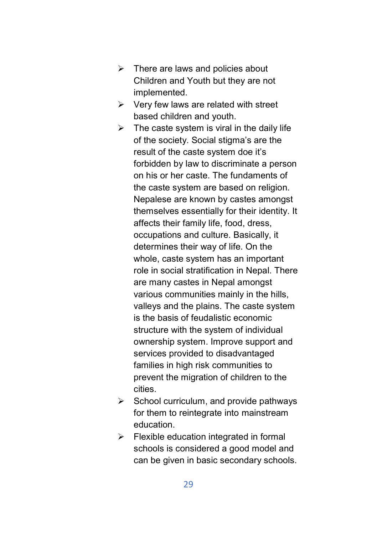- $\triangleright$  There are laws and policies about Children and Youth but they are not implemented.
- $\triangleright$  Verv few laws are related with street based children and youth.
- $\triangleright$  The caste system is viral in the daily life of the society. Social stigma's are the result of the caste system doe it's forbidden by law to discriminate a person on his or her caste. The fundaments of the caste system are based on religion. Nepalese are known by castes amongst themselves essentially for their identity. It affects their family life, food, dress, occupations and culture. Basically, it determines their way of life. On the whole, caste system has an important role in social stratification in Nepal. There are many castes in Nepal amongst various communities mainly in the hills, valleys and the plains. The caste system is the basis of feudalistic economic structure with the system of individual ownership system. Improve support and services provided to disadvantaged families in high risk communities to prevent the migration of children to the cities.
- $\triangleright$  School curriculum, and provide pathways for them to reintegrate into mainstream education.
- $\triangleright$  Flexible education integrated in formal schools is considered a good model and can be given in basic secondary schools.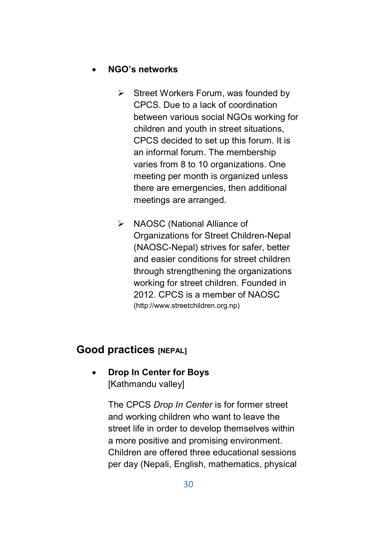### NGO's networks

- $\triangleright$  Street Workers Forum, was founded by CPCS. Due to a lack of coordination between various social NGOs working for children and youth in street situations, CPCS decided to set up this forum. It is an informal forum. The membership varies from 8 to 10 organizations. One meeting per month is organized unless there are emergencies, then additional meetings are arranged.
- > NAOSC (National Alliance of Organizations for Street Children-Nepal (NAOSC-Nepal) strives for safer, better and easier conditions for street children through strengthening the organizations working for street children. Founded in 2012. CPCS is a member of NAOSC (http://www.streetchildren.org.np)

# Good practices [NEPAL]

• Drop In Center for Boys [Kathmandu valley]

> The CPCS Drop In Center is for former street and working children who want to leave the street life in order to develop themselves within a more positive and promising environment. Children are offered three educational sessions per day (Nepali, English, mathematics, physical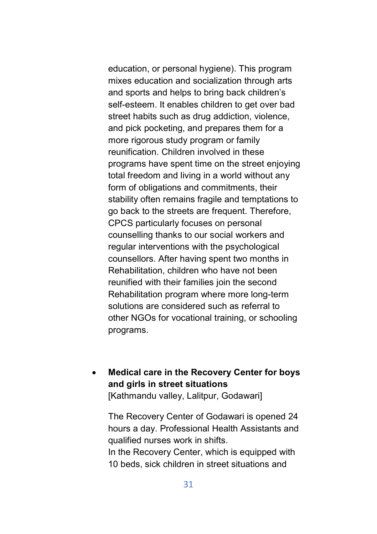education, or personal hygiene). This program mixes education and socialization through arts and sports and helps to bring back children's self-esteem. It enables children to get over bad street habits such as drug addiction, violence, and pick pocketing, and prepares them for a more rigorous study program or family reunification. Children involved in these programs have spent time on the street enjoying total freedom and living in a world without any form of obligations and commitments, their stability often remains fragile and temptations to go back to the streets are frequent. Therefore, CPCS particularly focuses on personal counselling thanks to our social workers and regular interventions with the psychological counsellors. After having spent two months in Rehabilitation, children who have not been reunified with their families join the second Rehabilitation program where more long-term solutions are considered such as referral to other NGOs for vocational training, or schooling programs.

 Medical care in the Recovery Center for boys and girls in street situations

[Kathmandu valley, Lalitpur, Godawari]

The Recovery Center of Godawari is opened 24 hours a day. Professional Health Assistants and qualified nurses work in shifts. In the Recovery Center, which is equipped with 10 beds, sick children in street situations and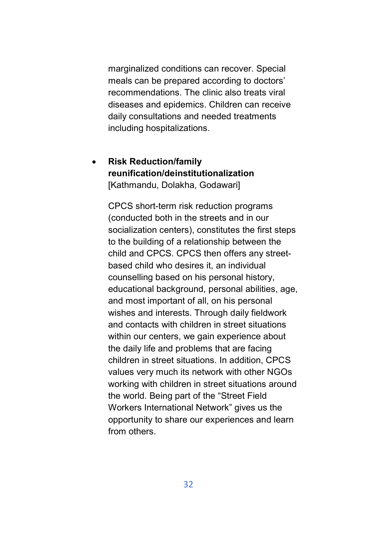marginalized conditions can recover. Special meals can be prepared according to doctors' recommendations. The clinic also treats viral diseases and epidemics. Children can receive daily consultations and needed treatments including hospitalizations.

### Risk Reduction/family reunification/deinstitutionalization [Kathmandu, Dolakha, Godawari]

CPCS short-term risk reduction programs (conducted both in the streets and in our socialization centers), constitutes the first steps to the building of a relationship between the child and CPCS. CPCS then offers any streetbased child who desires it, an individual counselling based on his personal history, educational background, personal abilities, age, and most important of all, on his personal wishes and interests. Through daily fieldwork and contacts with children in street situations within our centers, we gain experience about the daily life and problems that are facing children in street situations. In addition, CPCS values very much its network with other NGOs working with children in street situations around the world. Being part of the "Street Field Workers International Network" gives us the opportunity to share our experiences and learn from others.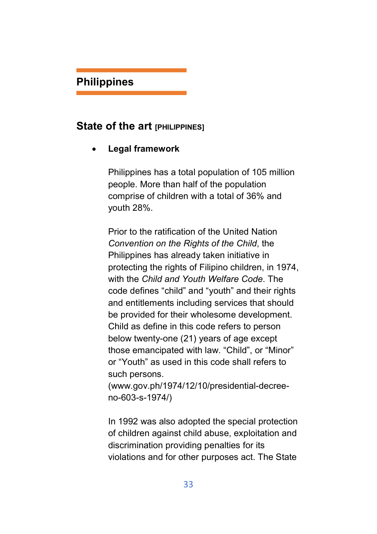# Philippines

### State of the art [PHILIPPINES]

#### Legal framework

Philippines has a total population of 105 million people. More than half of the population comprise of children with a total of 36% and youth 28%.

Prior to the ratification of the United Nation Convention on the Rights of the Child, the Philippines has already taken initiative in protecting the rights of Filipino children, in 1974, with the Child and Youth Welfare Code. The code defines "child" and "youth" and their rights and entitlements including services that should be provided for their wholesome development. Child as define in this code refers to person below twenty-one (21) years of age except those emancipated with law. "Child", or "Minor" or "Youth" as used in this code shall refers to such persons.

(www.gov.ph/1974/12/10/presidential-decreeno-603-s-1974/)

In 1992 was also adopted the special protection of children against child abuse, exploitation and discrimination providing penalties for its violations and for other purposes act. The State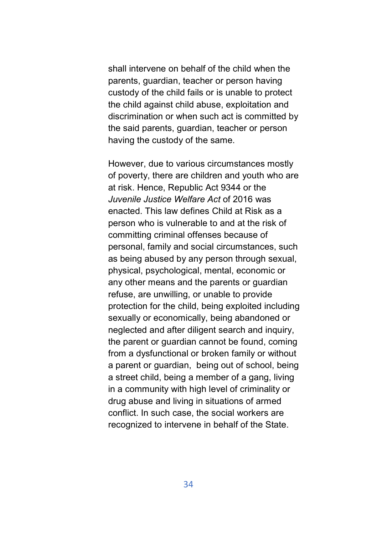shall intervene on behalf of the child when the parents, guardian, teacher or person having custody of the child fails or is unable to protect the child against child abuse, exploitation and discrimination or when such act is committed by the said parents, guardian, teacher or person having the custody of the same.

However, due to various circumstances mostly of poverty, there are children and youth who are at risk. Hence, Republic Act 9344 or the Juvenile Justice Welfare Act of 2016 was enacted. This law defines Child at Risk as a person who is vulnerable to and at the risk of committing criminal offenses because of personal, family and social circumstances, such as being abused by any person through sexual, physical, psychological, mental, economic or any other means and the parents or guardian refuse, are unwilling, or unable to provide protection for the child, being exploited including sexually or economically, being abandoned or neglected and after diligent search and inquiry, the parent or guardian cannot be found, coming from a dysfunctional or broken family or without a parent or guardian, being out of school, being a street child, being a member of a gang, living in a community with high level of criminality or drug abuse and living in situations of armed conflict. In such case, the social workers are recognized to intervene in behalf of the State.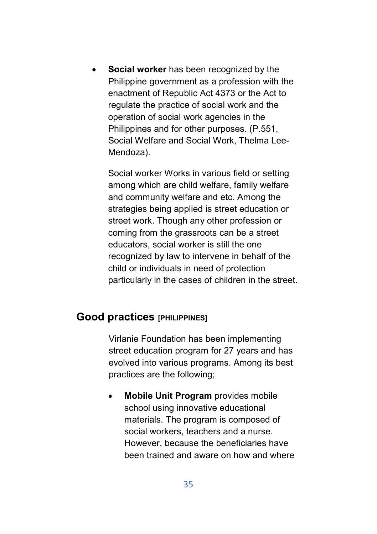Social worker has been recognized by the Philippine government as a profession with the enactment of Republic Act 4373 or the Act to regulate the practice of social work and the operation of social work agencies in the Philippines and for other purposes. (P.551, Social Welfare and Social Work, Thelma Lee-Mendoza).

Social worker Works in various field or setting among which are child welfare, family welfare and community welfare and etc. Among the strategies being applied is street education or street work. Though any other profession or coming from the grassroots can be a street educators, social worker is still the one recognized by law to intervene in behalf of the child or individuals in need of protection particularly in the cases of children in the street.

# Good practices **IPHILIPPINES1**

Virlanie Foundation has been implementing street education program for 27 years and has evolved into various programs. Among its best practices are the following;

 Mobile Unit Program provides mobile school using innovative educational materials. The program is composed of social workers, teachers and a nurse. However, because the beneficiaries have been trained and aware on how and where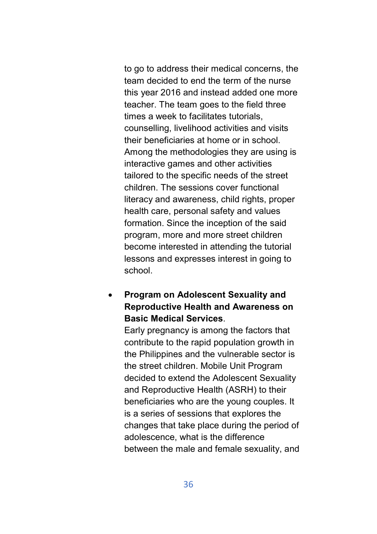to go to address their medical concerns, the team decided to end the term of the nurse this year 2016 and instead added one more teacher. The team goes to the field three times a week to facilitates tutorials, counselling, livelihood activities and visits their beneficiaries at home or in school. Among the methodologies they are using is interactive games and other activities tailored to the specific needs of the street children. The sessions cover functional literacy and awareness, child rights, proper health care, personal safety and values formation. Since the inception of the said program, more and more street children become interested in attending the tutorial lessons and expresses interest in going to school.

# Program on Adolescent Sexuality and Reproductive Health and Awareness on Basic Medical Services.

Early pregnancy is among the factors that contribute to the rapid population growth in the Philippines and the vulnerable sector is the street children. Mobile Unit Program decided to extend the Adolescent Sexuality and Reproductive Health (ASRH) to their beneficiaries who are the young couples. It is a series of sessions that explores the changes that take place during the period of adolescence, what is the difference between the male and female sexuality, and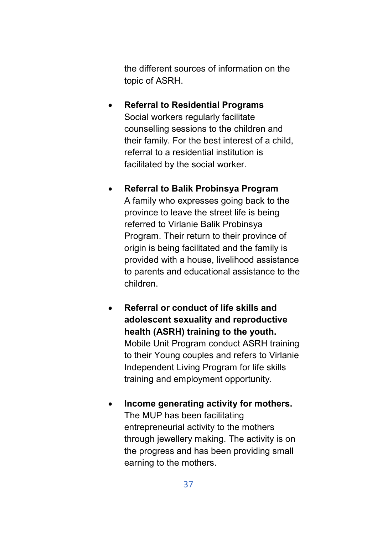the different sources of information on the topic of ASRH.

- Referral to Residential Programs Social workers regularly facilitate counselling sessions to the children and their family. For the best interest of a child, referral to a residential institution is facilitated by the social worker.
- Referral to Balik Probinsya Program A family who expresses going back to the province to leave the street life is being referred to Virlanie Balik Probinsya Program. Their return to their province of origin is being facilitated and the family is provided with a house, livelihood assistance to parents and educational assistance to the children.
- Referral or conduct of life skills and adolescent sexuality and reproductive health (ASRH) training to the youth. Mobile Unit Program conduct ASRH training to their Young couples and refers to Virlanie Independent Living Program for life skills training and employment opportunity.
- Income generating activity for mothers. The MUP has been facilitating entrepreneurial activity to the mothers through jewellery making. The activity is on the progress and has been providing small earning to the mothers.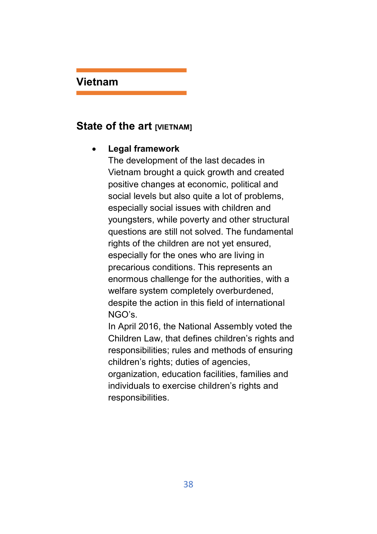# Vietnam

# State of the art [VIETNAM]

#### Legal framework

The development of the last decades in Vietnam brought a quick growth and created positive changes at economic, political and social levels but also quite a lot of problems, especially social issues with children and youngsters, while poverty and other structural questions are still not solved. The fundamental rights of the children are not yet ensured, especially for the ones who are living in precarious conditions. This represents an enormous challenge for the authorities, with a welfare system completely overburdened, despite the action in this field of international NGO's.

In April 2016, the National Assembly voted the Children Law, that defines children's rights and responsibilities; rules and methods of ensuring children's rights; duties of agencies, organization, education facilities, families and individuals to exercise children's rights and responsibilities.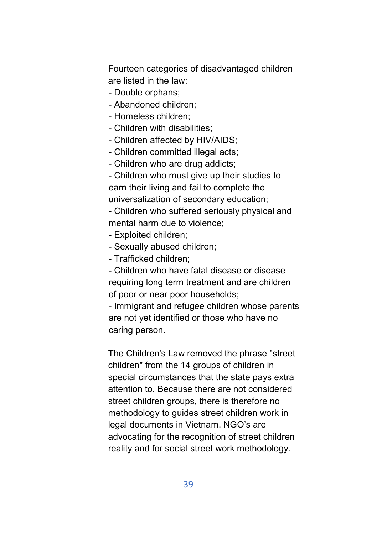Fourteen categories of disadvantaged children are listed in the law:

- Double orphans;
- Abandoned children;
- Homeless children;
- Children with disabilities;
- Children affected by HIV/AIDS;
- Children committed illegal acts;
- Children who are drug addicts;

- Children who must give up their studies to earn their living and fail to complete the universalization of secondary education;

- Children who suffered seriously physical and mental harm due to violence;

- Exploited children;
- Sexually abused children;
- Trafficked children;

- Children who have fatal disease or disease requiring long term treatment and are children of poor or near poor households;

- Immigrant and refugee children whose parents are not yet identified or those who have no caring person.

The Children's Law removed the phrase "street children" from the 14 groups of children in special circumstances that the state pays extra attention to. Because there are not considered street children groups, there is therefore no methodology to guides street children work in legal documents in Vietnam. NGO's are advocating for the recognition of street children reality and for social street work methodology.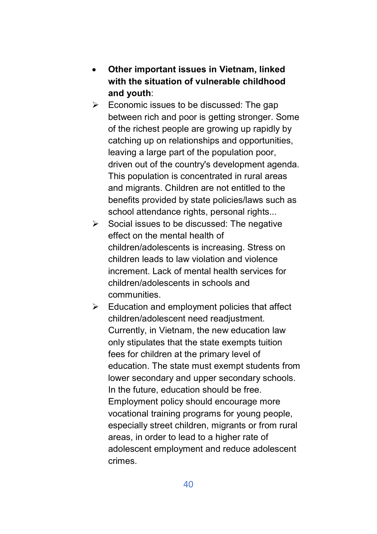- Other important issues in Vietnam, linked with the situation of vulnerable childhood and youth:
- $\triangleright$  Economic issues to be discussed: The gap between rich and poor is getting stronger. Some of the richest people are growing up rapidly by catching up on relationships and opportunities, leaving a large part of the population poor, driven out of the country's development agenda. This population is concentrated in rural areas and migrants. Children are not entitled to the benefits provided by state policies/laws such as school attendance rights, personal rights...
- $\triangleright$  Social issues to be discussed: The negative effect on the mental health of children/adolescents is increasing. Stress on children leads to law violation and violence increment. Lack of mental health services for children/adolescents in schools and communities.
- $\triangleright$  Education and employment policies that affect children/adolescent need readjustment. Currently, in Vietnam, the new education law only stipulates that the state exempts tuition fees for children at the primary level of education. The state must exempt students from lower secondary and upper secondary schools. In the future, education should be free. Employment policy should encourage more vocational training programs for young people, especially street children, migrants or from rural areas, in order to lead to a higher rate of adolescent employment and reduce adolescent crimes.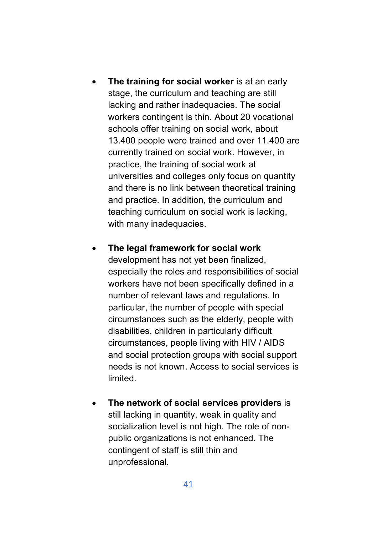- The training for social worker is at an early stage, the curriculum and teaching are still lacking and rather inadequacies. The social workers contingent is thin. About 20 vocational schools offer training on social work, about 13.400 people were trained and over 11.400 are currently trained on social work. However, in practice, the training of social work at universities and colleges only focus on quantity and there is no link between theoretical training and practice. In addition, the curriculum and teaching curriculum on social work is lacking, with many inadequacies.
- The legal framework for social work development has not yet been finalized, especially the roles and responsibilities of social workers have not been specifically defined in a number of relevant laws and regulations. In particular, the number of people with special circumstances such as the elderly, people with disabilities, children in particularly difficult circumstances, people living with HIV / AIDS and social protection groups with social support needs is not known. Access to social services is limited.
- The network of social services providers is still lacking in quantity, weak in quality and socialization level is not high. The role of nonpublic organizations is not enhanced. The contingent of staff is still thin and unprofessional.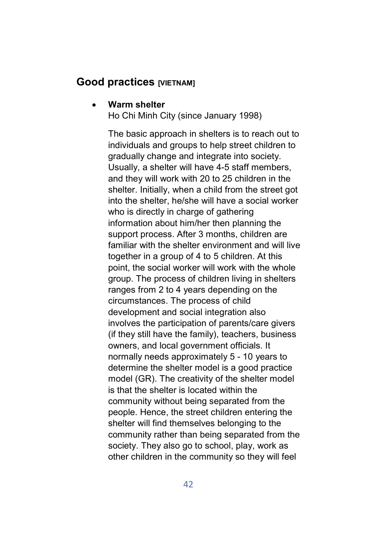### Good practices [VIETNAM]

#### Warm shelter

Ho Chi Minh City (since January 1998)

The basic approach in shelters is to reach out to individuals and groups to help street children to gradually change and integrate into society. Usually, a shelter will have 4-5 staff members, and they will work with 20 to 25 children in the shelter. Initially, when a child from the street got into the shelter, he/she will have a social worker who is directly in charge of gathering information about him/her then planning the support process. After 3 months, children are familiar with the shelter environment and will live together in a group of 4 to 5 children. At this point, the social worker will work with the whole group. The process of children living in shelters ranges from 2 to 4 years depending on the circumstances. The process of child development and social integration also involves the participation of parents/care givers (if they still have the family), teachers, business owners, and local government officials. It normally needs approximately 5 - 10 years to determine the shelter model is a good practice model (GR). The creativity of the shelter model is that the shelter is located within the community without being separated from the people. Hence, the street children entering the shelter will find themselves belonging to the community rather than being separated from the society. They also go to school, play, work as other children in the community so they will feel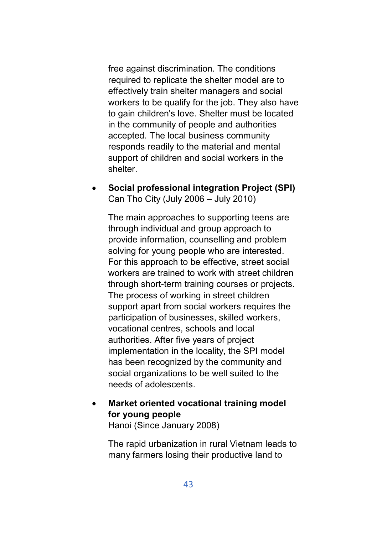free against discrimination. The conditions required to replicate the shelter model are to effectively train shelter managers and social workers to be qualify for the job. They also have to gain children's love. Shelter must be located in the community of people and authorities accepted. The local business community responds readily to the material and mental support of children and social workers in the shelter.

 Social professional integration Project (SPI) Can Tho City (July 2006 – July 2010)

The main approaches to supporting teens are through individual and group approach to provide information, counselling and problem solving for young people who are interested. For this approach to be effective, street social workers are trained to work with street children through short-term training courses or projects. The process of working in street children support apart from social workers requires the participation of businesses, skilled workers, vocational centres, schools and local authorities. After five years of project implementation in the locality, the SPI model has been recognized by the community and social organizations to be well suited to the needs of adolescents.

 Market oriented vocational training model for young people

Hanoi (Since January 2008)

The rapid urbanization in rural Vietnam leads to many farmers losing their productive land to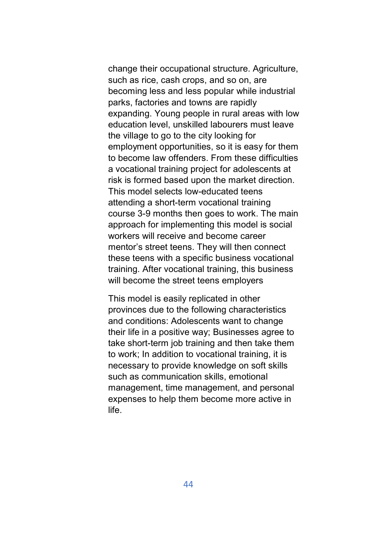change their occupational structure. Agriculture, such as rice, cash crops, and so on, are becoming less and less popular while industrial parks, factories and towns are rapidly expanding. Young people in rural areas with low education level, unskilled labourers must leave the village to go to the city looking for employment opportunities, so it is easy for them to become law offenders. From these difficulties a vocational training project for adolescents at risk is formed based upon the market direction. This model selects low-educated teens attending a short-term vocational training course 3-9 months then goes to work. The main approach for implementing this model is social workers will receive and become career mentor's street teens. They will then connect these teens with a specific business vocational training. After vocational training, this business will become the street teens employers

This model is easily replicated in other provinces due to the following characteristics and conditions: Adolescents want to change their life in a positive way; Businesses agree to take short-term job training and then take them to work; In addition to vocational training, it is necessary to provide knowledge on soft skills such as communication skills, emotional management, time management, and personal expenses to help them become more active in life.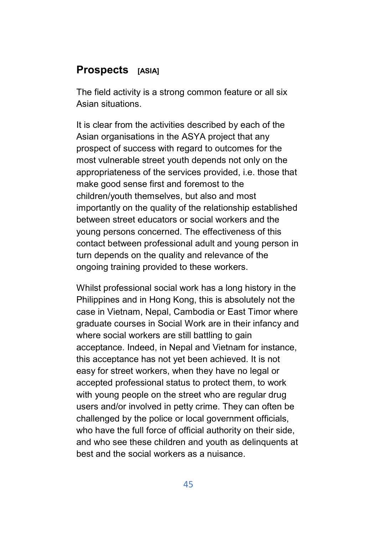# Prospects [ASIA]

The field activity is a strong common feature or all six Asian situations.

It is clear from the activities described by each of the Asian organisations in the ASYA project that any prospect of success with regard to outcomes for the most vulnerable street youth depends not only on the appropriateness of the services provided, i.e. those that make good sense first and foremost to the children/youth themselves, but also and most importantly on the quality of the relationship established between street educators or social workers and the young persons concerned. The effectiveness of this contact between professional adult and young person in turn depends on the quality and relevance of the ongoing training provided to these workers.

Whilst professional social work has a long history in the Philippines and in Hong Kong, this is absolutely not the case in Vietnam, Nepal, Cambodia or East Timor where graduate courses in Social Work are in their infancy and where social workers are still battling to gain acceptance. Indeed, in Nepal and Vietnam for instance, this acceptance has not yet been achieved. It is not easy for street workers, when they have no legal or accepted professional status to protect them, to work with young people on the street who are regular drug users and/or involved in petty crime. They can often be challenged by the police or local government officials, who have the full force of official authority on their side, and who see these children and youth as delinquents at best and the social workers as a nuisance.